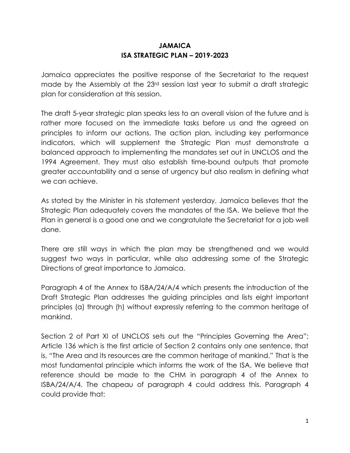## **JAMAICA ISA STRATEGIC PLAN – 2019-2023**

Jamaica appreciates the positive response of the Secretariat to the request made by the Assembly at the 23<sup>rd</sup> session last year to submit a draft strategic plan for consideration at this session.

The draft 5-year strategic plan speaks less to an overall vision of the future and is rather more focused on the immediate tasks before us and the agreed on principles to inform our actions. The action plan, including key performance indicators, which will supplement the Strategic Plan must demonstrate a balanced approach to implementing the mandates set out in UNCLOS and the 1994 Agreement. They must also establish time-bound outputs that promote greater accountability and a sense of urgency but also realism in defining what we can achieve.

As stated by the Minister in his statement yesterday, Jamaica believes that the Strategic Plan adequately covers the mandates of the ISA. We believe that the Plan in general is a good one and we congratulate the Secretariat for a job well done.

There are still ways in which the plan may be strengthened and we would suggest two ways in particular, while also addressing some of the Strategic Directions of great importance to Jamaica.

Paragraph 4 of the Annex to ISBA/24/A/4 which presents the introduction of the Draft Strategic Plan addresses the guiding principles and lists eight important principles (a) through (h) without expressly referring to the common heritage of mankind.

Section 2 of Part XI of UNCLOS sets out the "Principles Governing the Area"; Article 136 which is the first article of Section 2 contains only one sentence, that is, "The Area and its resources are the common heritage of mankind." That is the most fundamental principle which informs the work of the ISA. We believe that reference should be made to the CHM in paragraph 4 of the Annex to ISBA/24/A/4. The chapeau of paragraph 4 could address this. Paragraph 4 could provide that: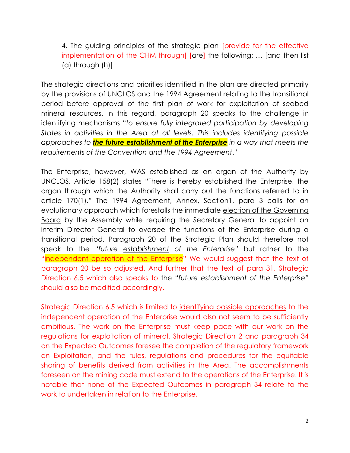4. The guiding principles of the strategic plan [provide for the effective implementation of the CHM through] [are] the following: … [and then list (a) through (h)]

The strategic directions and priorities identified in the plan are directed primarily by the provisions of UNCLOS and the 1994 Agreement relating to the transitional period before approval of the first plan of work for exploitation of seabed mineral resources. In this regard, paragraph 20 speaks to the challenge in identifying mechanisms "*to ensure fully integrated participation by developing States in activities in the Area at all levels. This includes identifying possible approaches to the future establishment of the Enterprise in a way that meets the requirements of the Convention and the 1994 Agreement*."

The Enterprise, however, WAS established as an organ of the Authority by UNCLOS. Article 158(2) states "There is hereby established the Enterprise, the organ through which the Authority shall carry out the functions referred to in article 170(1)." The 1994 Agreement, Annex, Section1, para 3 calls for an evolutionary approach which forestalls the immediate election of the Governing Board by the Assembly while requiring the Secretary General to appoint an interim Director General to oversee the functions of the Enterprise during a transitional period. Paragraph 20 of the Strategic Plan should therefore not speak to the "*future establishment of the Enterprise"* but rather to the "independent operation of the Enterprise" We would suggest that the text of paragraph 20 be so adjusted. And further that the text of para 31, Strategic Direction 6.5 which also speaks to the "*future establishment of the Enterprise"* should also be modified accordingly.

Strategic Direction 6.5 which is limited to identifying possible approaches to the independent operation of the Enterprise would also not seem to be sufficiently ambitious. The work on the Enterprise must keep pace with our work on the regulations for exploitation of mineral. Strategic Direction 2 and paragraph 34 on the Expected Outcomes foresee the completion of the regulatory framework on Exploitation, and the rules, regulations and procedures for the equitable sharing of benefits derived from activities in the Area. The accomplishments foreseen on the mining code must extend to the operations of the Enterprise. It is notable that none of the Expected Outcomes in paragraph 34 relate to the work to undertaken in relation to the Enterprise.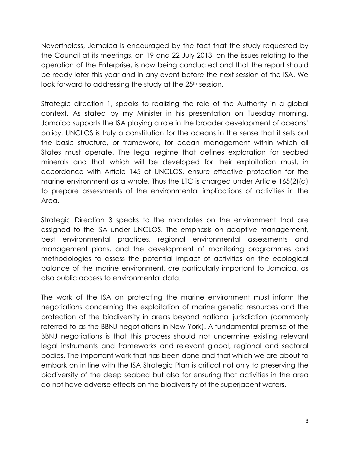Nevertheless, Jamaica is encouraged by the fact that the study requested by the Council at its meetings, on 19 and 22 July 2013, on the issues relating to the operation of the Enterprise, is now being conducted and that the report should be ready later this year and in any event before the next session of the ISA. We look forward to addressing the study at the 25<sup>th</sup> session.

Strategic direction 1, speaks to realizing the role of the Authority in a global context. As stated by my Minister in his presentation on Tuesday morning, Jamaica supports the ISA playing a role in the broader development of oceans' policy. UNCLOS is truly a constitution for the oceans in the sense that it sets out the basic structure, or framework, for ocean management within which all States must operate. The legal regime that defines exploration for seabed minerals and that which will be developed for their exploitation must, in accordance with Article 145 of UNCLOS, ensure effective protection for the marine environment as a whole. Thus the LTC is charged under Article 165(2)(d) to prepare assessments of the environmental implications of activities in the Area.

Strategic Direction 3 speaks to the mandates on the environment that are assigned to the ISA under UNCLOS. The emphasis on adaptive management, best environmental practices, regional environmental assessments and management plans, and the development of monitoring programmes and methodologies to assess the potential impact of activities on the ecological balance of the marine environment, are particularly important to Jamaica, as also public access to environmental data.

The work of the ISA on protecting the marine environment must inform the negotiations concerning the exploitation of marine genetic resources and the protection of the biodiversity in areas beyond national jurisdiction (commonly referred to as the BBNJ negotiations in New York). A fundamental premise of the BBNJ negotiations is that this process should not undermine existing relevant legal instruments and frameworks and relevant global, regional and sectoral bodies. The important work that has been done and that which we are about to embark on in line with the ISA Strategic Plan is critical not only to preserving the biodiversity of the deep seabed but also for ensuring that activities in the area do not have adverse effects on the biodiversity of the superjacent waters.